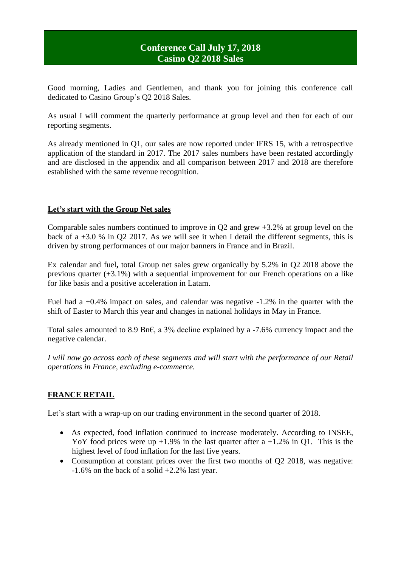# **Conference Call July 17, 2018 Casino Q2 2018 Sales**

Good morning, Ladies and Gentlemen, and thank you for joining this conference call dedicated to Casino Group's Q2 2018 Sales.

As usual I will comment the quarterly performance at group level and then for each of our reporting segments.

As already mentioned in Q1, our sales are now reported under IFRS 15, with a retrospective application of the standard in 2017. The 2017 sales numbers have been restated accordingly and are disclosed in the appendix and all comparison between 2017 and 2018 are therefore established with the same revenue recognition.

# **Let's start with the Group Net sales**

Comparable sales numbers continued to improve in Q2 and grew +3.2% at group level on the back of a  $+3.0$  % in Q2 2017. As we will see it when I detail the different segments, this is driven by strong performances of our major banners in France and in Brazil.

Ex calendar and fuel**,** total Group net sales grew organically by 5.2% in Q2 2018 above the previous quarter (+3.1%) with a sequential improvement for our French operations on a like for like basis and a positive acceleration in Latam.

Fuel had a +0.4% impact on sales, and calendar was negative -1.2% in the quarter with the shift of Easter to March this year and changes in national holidays in May in France.

Total sales amounted to 8.9 Bn€, a 3% decline explained by a -7.6% currency impact and the negative calendar.

*I will now go across each of these segments and will start with the performance of our Retail operations in France, excluding e-commerce.*

# **FRANCE RETAIL**

Let's start with a wrap-up on our trading environment in the second quarter of 2018.

- As expected, food inflation continued to increase moderately. According to INSEE, YoY food prices were up  $+1.9\%$  in the last quarter after a  $+1.2\%$  in Q1. This is the highest level of food inflation for the last five years.
- Consumption at constant prices over the first two months of O2 2018, was negative: -1.6% on the back of a solid +2.2% last year.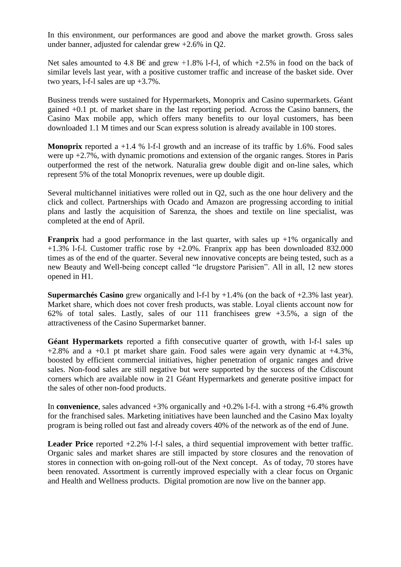In this environment, our performances are good and above the market growth. Gross sales under banner, adjusted for calendar grew +2.6% in Q2.

Net sales amounted to 4.8 B€ and grew +1.8% l-f-l, of which +2.5% in food on the back of similar levels last year, with a positive customer traffic and increase of the basket side. Over two years, l-f-l sales are up +3.7%.

Business trends were sustained for Hypermarkets, Monoprix and Casino supermarkets. Géant gained +0.1 pt. of market share in the last reporting period. Across the Casino banners, the Casino Max mobile app, which offers many benefits to our loyal customers, has been downloaded 1.1 M times and our Scan express solution is already available in 100 stores.

**Monoprix** reported a +1.4 % 1-f-1 growth and an increase of its traffic by 1.6%. Food sales were up +2.7%, with dynamic promotions and extension of the organic ranges. Stores in Paris outperformed the rest of the network. Naturalia grew double digit and on-line sales, which represent 5% of the total Monoprix revenues, were up double digit.

Several multichannel initiatives were rolled out in Q2, such as the one hour delivery and the click and collect. Partnerships with Ocado and Amazon are progressing according to initial plans and lastly the acquisition of Sarenza, the shoes and textile on line specialist, was completed at the end of April.

**Franprix** had a good performance in the last quarter, with sales up  $+1\%$  organically and  $+1.3\%$  l-f-l. Customer traffic rose by  $+2.0\%$ . Franprix app has been downloaded 832.000 times as of the end of the quarter. Several new innovative concepts are being tested, such as a new Beauty and Well-being concept called "le drugstore Parisien". All in all, 12 new stores opened in H1.

**Supermarchés Casino** grew organically and l-f-l by +1.4% (on the back of +2.3% last year). Market share, which does not cover fresh products, was stable. Loyal clients account now for 62% of total sales. Lastly, sales of our 111 franchisees grew +3.5%, a sign of the attractiveness of the Casino Supermarket banner.

**Géant Hypermarkets** reported a fifth consecutive quarter of growth, with l-f-l sales up  $+2.8\%$  and a  $+0.1$  pt market share gain. Food sales were again very dynamic at  $+4.3\%$ , boosted by efficient commercial initiatives, higher penetration of organic ranges and drive sales. Non-food sales are still negative but were supported by the success of the Cdiscount corners which are available now in 21 Géant Hypermarkets and generate positive impact for the sales of other non-food products.

In **convenience**, sales advanced +3% organically and +0.2% l-f-l. with a strong +6.4% growth for the franchised sales. Marketing initiatives have been launched and the Casino Max loyalty program is being rolled out fast and already covers 40% of the network as of the end of June.

Leader Price reported  $+2.2\%$  1-f-1 sales, a third sequential improvement with better traffic. Organic sales and market shares are still impacted by store closures and the renovation of stores in connection with on-going roll-out of the Next concept. As of today, 70 stores have been renovated. Assortment is currently improved especially with a clear focus on Organic and Health and Wellness products. Digital promotion are now live on the banner app.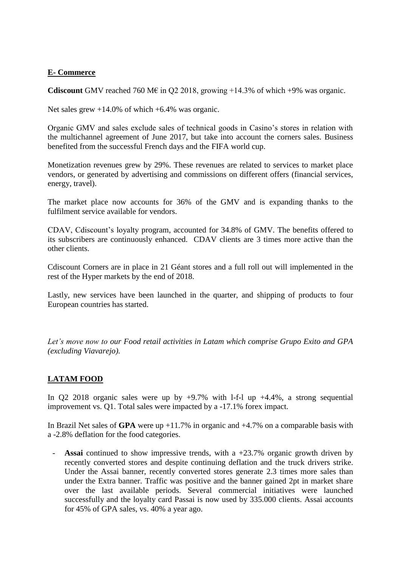### **E- Commerce**

**Cdiscount** GMV reached 760 M $\epsilon$  in Q2 2018, growing +14.3% of which +9% was organic.

Net sales grew  $+14.0\%$  of which  $+6.4\%$  was organic.

Organic GMV and sales exclude sales of technical goods in Casino's stores in relation with the multichannel agreement of June 2017, but take into account the corners sales. Business benefited from the successful French days and the FIFA world cup.

Monetization revenues grew by 29%. These revenues are related to services to market place vendors, or generated by advertising and commissions on different offers (financial services, energy, travel).

The market place now accounts for 36% of the GMV and is expanding thanks to the fulfilment service available for vendors.

CDAV, Cdiscount's loyalty program, accounted for 34.8% of GMV. The benefits offered to its subscribers are continuously enhanced. CDAV clients are 3 times more active than the other clients.

Cdiscount Corners are in place in 21 Géant stores and a full roll out will implemented in the rest of the Hyper markets by the end of 2018.

Lastly, new services have been launched in the quarter, and shipping of products to four European countries has started.

*Let's move now to our Food retail activities in Latam which comprise Grupo Exito and GPA (excluding Viavarejo).*

# **LATAM FOOD**

In Q2 2018 organic sales were up by  $+9.7\%$  with 1-f-1 up  $+4.4\%$ , a strong sequential improvement vs. Q1. Total sales were impacted by a -17.1% forex impact.

In Brazil Net sales of **GPA** were up +11.7% in organic and +4.7% on a comparable basis with a -2.8% deflation for the food categories.

**Assai** continued to show impressive trends, with a  $+23.7\%$  organic growth driven by recently converted stores and despite continuing deflation and the truck drivers strike. Under the Assai banner, recently converted stores generate 2.3 times more sales than under the Extra banner. Traffic was positive and the banner gained 2pt in market share over the last available periods. Several commercial initiatives were launched successfully and the loyalty card Passai is now used by 335.000 clients. Assai accounts for 45% of GPA sales, vs. 40% a year ago.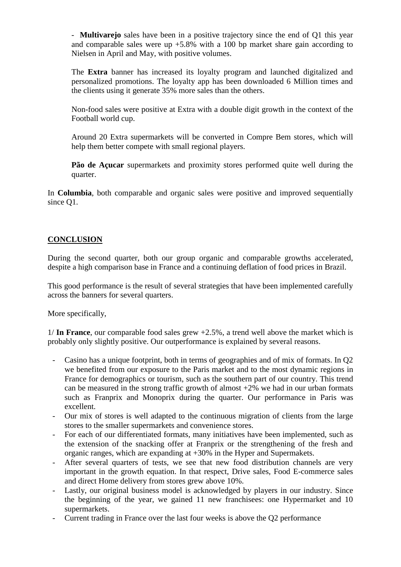- **Multivarejo** sales have been in a positive trajectory since the end of Q1 this year and comparable sales were up  $+5.8\%$  with a 100 bp market share gain according to Nielsen in April and May, with positive volumes.

The **Extra** banner has increased its loyalty program and launched digitalized and personalized promotions. The loyalty app has been downloaded 6 Million times and the clients using it generate 35% more sales than the others.

Non-food sales were positive at Extra with a double digit growth in the context of the Football world cup.

Around 20 Extra supermarkets will be converted in Compre Bem stores, which will help them better compete with small regional players.

**Pão de Açucar** supermarkets and proximity stores performed quite well during the quarter.

In **Columbia**, both comparable and organic sales were positive and improved sequentially since Q1.

# **CONCLUSION**

During the second quarter, both our group organic and comparable growths accelerated, despite a high comparison base in France and a continuing deflation of food prices in Brazil.

This good performance is the result of several strategies that have been implemented carefully across the banners for several quarters.

More specifically,

1/ **In France**, our comparable food sales grew +2.5%, a trend well above the market which is probably only slightly positive. Our outperformance is explained by several reasons.

- Casino has a unique footprint, both in terms of geographies and of mix of formats. In Q2 we benefited from our exposure to the Paris market and to the most dynamic regions in France for demographics or tourism, such as the southern part of our country. This trend can be measured in the strong traffic growth of almost  $+2\%$  we had in our urban formats such as Franprix and Monoprix during the quarter. Our performance in Paris was excellent.
- Our mix of stores is well adapted to the continuous migration of clients from the large stores to the smaller supermarkets and convenience stores.
- For each of our differentiated formats, many initiatives have been implemented, such as the extension of the snacking offer at Franprix or the strengthening of the fresh and organic ranges, which are expanding at +30% in the Hyper and Supermakets.
- After several quarters of tests, we see that new food distribution channels are very important in the growth equation. In that respect, Drive sales, Food E-commerce sales and direct Home delivery from stores grew above 10%.
- Lastly, our original business model is acknowledged by players in our industry. Since the beginning of the year, we gained 11 new franchisees: one Hypermarket and 10 supermarkets.
- Current trading in France over the last four weeks is above the Q2 performance